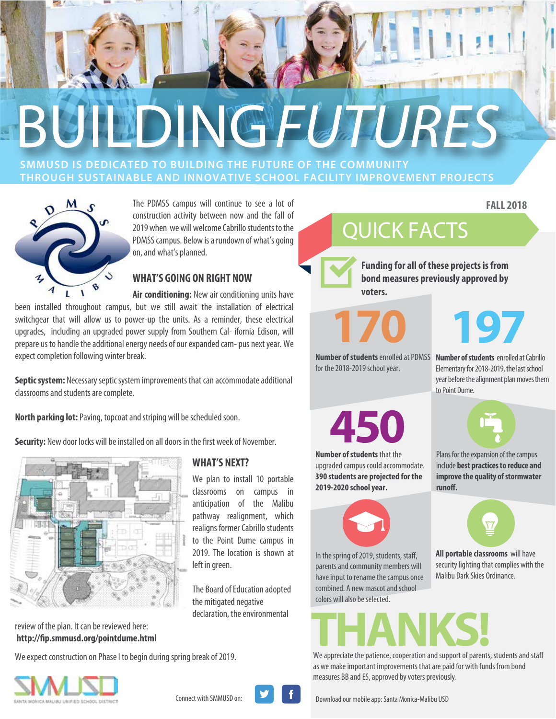# BUILDINGFLITURES

**SMMUSD IS DEDICATED TO BUILDING THE FUTURE OF THE COMMUNITY THROUGH SUSTAINABLE AND INNOVATIVE SCHOOL FACILITY IMPROVEMENT PROJECTS**



The PDMSS campus will continue to see a lot of construction activity between now and the fall of 2019 when we will welcome Cabrillo students to the PDMSS campus. Below is a rundown of what's going on, and what's planned.

#### **WHAT'S GOING ON RIGHT NOW**

**Air conditioning:** New air conditioning units have been installed throughout campus, but we still await the installation of electrical switchgear that will allow us to power-up the units. As a reminder, these electrical upgrades, including an upgraded power supply from Southern Cal- ifornia Edison, will prepare us to handle the additional energy needs of our expanded cam- pus next year. We expect completion following winter break.

**Septic system:** Necessary septic system improvements that can accommodate additional classrooms and students are complete.

**North parking lot:** Paving, topcoat and striping will be scheduled soon.

**Security:** New door locks will be installed on all doors in the first week of November.



#### review of the plan. It can be reviewed here: **http://p.smmusd.org/pointdume.html**

We expect construction on Phase I to begin during spring break of 2019.



#### **WHAT'S NEXT?**

We plan to install 10 portable classrooms on campus in anticipation of the Malibu pathway realignment, which realigns former Cabrillo students to the Point Dume campus in 2019. The location is shown at left in green.

The Board of Education adopted the mitigated negative declaration, the environmental

## QUICK FACTS

**Funding for all of these projects is from bond measures previously approved by voters.**

**170**

**197**

**FALL 2018**

**Number of students** enrolled at Cabrillo Elementary for 2018-2019, the last school year before the alignment plan moves them

Plans for the expansion of the campus include **best practices to reduce and** 

**Number of students** enrolled at PDMSS for the 2018-2019 school year.

**450**

**Number of students** that the upgraded campus could accommodate. **390 students are projected for the 2019-2020 school year.**



In the spring of 2019, students, staff, parents and community members will have input to rename the campus once combined. A new mascot and school colors will also be selected.



to Point Dume.

**All portable classrooms** will have security lighting that complies with the Malibu Dark Skies Ordinance.

## We appreciate the patience, cooperation and support of parents, students and staff

as we make important improvements that are paid for with funds from bond measures BB and ES, approved by voters previously.